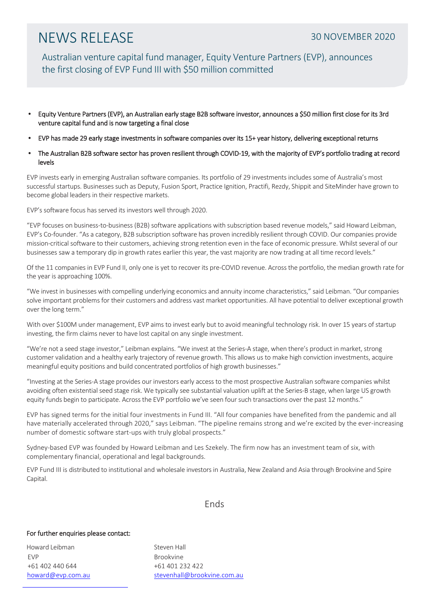## NEWS RELEASE 30 NOVEMBER 2020

Australian venture capital fund manager, Equity Venture Partners (EVP), announces the first closing of EVP Fund III with \$50 million committed

- Equity Venture Partners (EVP), an Australian early stage B2B software investor, announces a \$50 million first close for its 3rd venture capital fund and is now targeting a final close
- EVP has made 29 early stage investments in software companies over its 15+ year history, delivering exceptional returns
- The Australian B2B software sector has proven resilient through COVID-19, with the majority of EVP's portfolio trading at record levels

EVP invests early in emerging Australian software companies. Its portfolio of 29 investments includes some of Australia's most successful startups. Businesses such as Deputy, Fusion Sport, Practice Ignition, Practifi, Rezdy, Shippit and SiteMinder have grown to become global leaders in their respective markets.

EVP's software focus has served its investors well through 2020.

"EVP focuses on business-to-business (B2B) software applications with subscription based revenue models," said Howard Leibman, EVP's Co-founder. "As a category, B2B subscription software has proven incredibly resilient through COVID. Our companies provide mission-critical software to their customers, achieving strong retention even in the face of economic pressure. Whilst several of our businesses saw a temporary dip in growth rates earlier this year, the vast majority are now trading at all time record levels."

Of the 11 companies in EVP Fund II, only one is yet to recover its pre-COVID revenue. Across the portfolio, the median growth rate for the year is approaching 100%.

"We invest in businesses with compelling underlying economics and annuity income characteristics," said Leibman. "Our companies solve important problems for their customers and address vast market opportunities. All have potential to deliver exceptional growth over the long term."

With over \$100M under management, EVP aims to invest early but to avoid meaningful technology risk. In over 15 years of startup investing, the firm claims never to have lost capital on any single investment.

"We're not a seed stage investor," Leibman explains. "We invest at the Series-A stage, when there's product in market, strong customer validation and a healthy early trajectory of revenue growth. This allows us to make high conviction investments, acquire meaningful equity positions and build concentrated portfolios of high growth businesses."

"Investing at the Series-A stage provides our investors early access to the most prospective Australian software companies whilst avoiding often existential seed stage risk. We typically see substantial valuation uplift at the Series-B stage, when large US growth equity funds begin to participate. Across the EVP portfolio we've seen four such transactions over the past 12 months."

EVP has signed terms for the initial four investments in Fund III. "All four companies have benefited from the pandemic and all have materially accelerated through 2020," says Leibman. "The pipeline remains strong and we're excited by the ever-increasing number of domestic software start-ups with truly global prospects."

Sydney-based EVP was founded by Howard Leibman and Les Szekely. The firm now has an investment team of six, with complementary financial, operational and legal backgrounds.

EVP Fund III is distributed to institutional and wholesale investors in Australia, New Zealand and Asia through Brookvine and Spire Capital.

### Ends

### For further enquiries please contact:

Howard Leibman Steven Hall EVP Brookvine +61 402 440 644 +61 401 232 422

[howard@evp.com.au](mailto:howard@evp.com.au) [stevenhall@brookvine.com.au](mailto:stevenhall@brookvine.com.au)